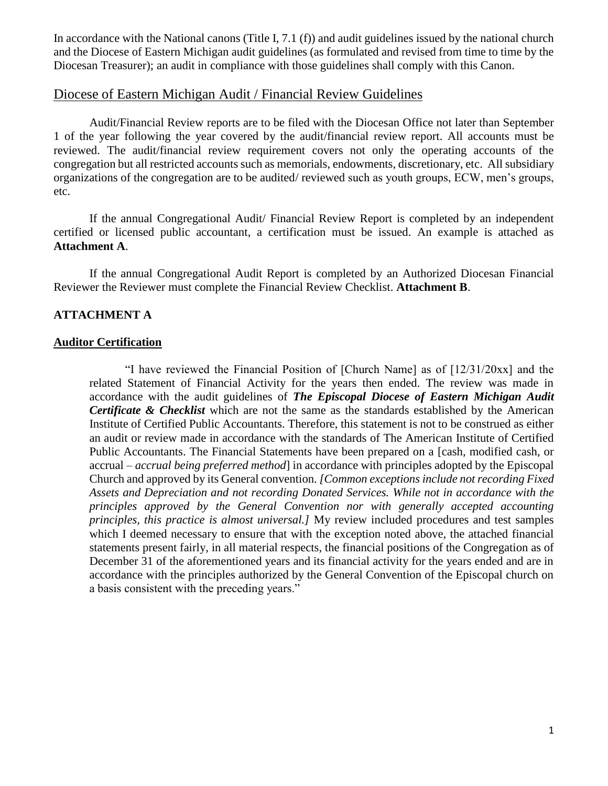In accordance with the National canons (Title I, 7.1 (f)) and audit guidelines issued by the national church and the Diocese of Eastern Michigan audit guidelines (as formulated and revised from time to time by the Diocesan Treasurer); an audit in compliance with those guidelines shall comply with this Canon.

#### Diocese of Eastern Michigan Audit / Financial Review Guidelines

Audit/Financial Review reports are to be filed with the Diocesan Office not later than September 1 of the year following the year covered by the audit/financial review report. All accounts must be reviewed. The audit/financial review requirement covers not only the operating accounts of the congregation but all restricted accounts such as memorials, endowments, discretionary, etc. All subsidiary organizations of the congregation are to be audited/ reviewed such as youth groups, ECW, men's groups, etc.

If the annual Congregational Audit/ Financial Review Report is completed by an independent certified or licensed public accountant, a certification must be issued. An example is attached as **Attachment A**.

If the annual Congregational Audit Report is completed by an Authorized Diocesan Financial Reviewer the Reviewer must complete the Financial Review Checklist. **Attachment B**.

#### **ATTACHMENT A**

#### **Auditor Certification**

"I have reviewed the Financial Position of [Church Name] as of [12/31/20xx] and the related Statement of Financial Activity for the years then ended. The review was made in accordance with the audit guidelines of *The Episcopal Diocese of Eastern Michigan Audit Certificate & Checklist* which are not the same as the standards established by the American Institute of Certified Public Accountants. Therefore, this statement is not to be construed as either an audit or review made in accordance with the standards of The American Institute of Certified Public Accountants. The Financial Statements have been prepared on a [cash, modified cash, or accrual – *accrual being preferred method*] in accordance with principles adopted by the Episcopal Church and approved by its General convention. *[Common exceptions include not recording Fixed Assets and Depreciation and not recording Donated Services. While not in accordance with the principles approved by the General Convention nor with generally accepted accounting principles, this practice is almost universal.]* My review included procedures and test samples which I deemed necessary to ensure that with the exception noted above, the attached financial statements present fairly, in all material respects, the financial positions of the Congregation as of December 31 of the aforementioned years and its financial activity for the years ended and are in accordance with the principles authorized by the General Convention of the Episcopal church on a basis consistent with the preceding years."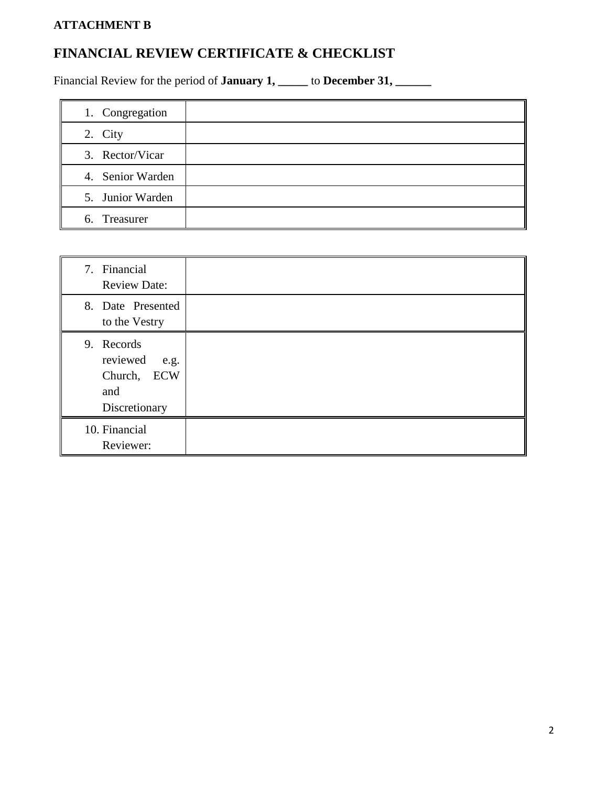## **ATTACHMENT B**

# **FINANCIAL REVIEW CERTIFICATE & CHECKLIST**

Financial Review for the period of **January 1, \_\_\_\_** to **December 31, \_\_\_\_\_** 

| 1. Congregation  |  |
|------------------|--|
| 2. City          |  |
| 3. Rector/Vicar  |  |
| 4. Senior Warden |  |
| 5. Junior Warden |  |
| 6. Treasurer     |  |

| 7. Financial<br><b>Review Date:</b>                                   |  |
|-----------------------------------------------------------------------|--|
| 8. Date Presented<br>to the Vestry                                    |  |
| 9. Records<br>reviewed<br>e.g.<br>Church, ECW<br>and<br>Discretionary |  |
| 10. Financial<br>Reviewer:                                            |  |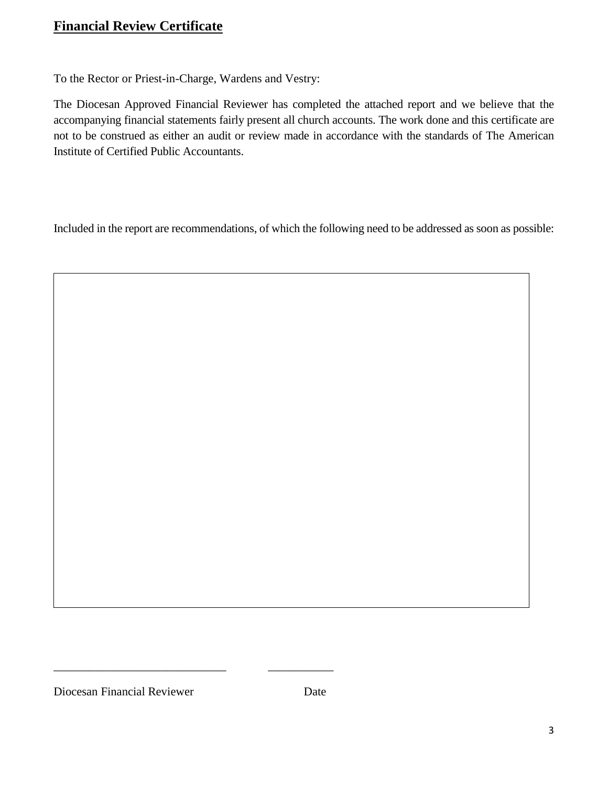## **Financial Review Certificate**

To the Rector or Priest-in-Charge, Wardens and Vestry:

The Diocesan Approved Financial Reviewer has completed the attached report and we believe that the accompanying financial statements fairly present all church accounts. The work done and this certificate are not to be construed as either an audit or review made in accordance with the standards of The American Institute of Certified Public Accountants.

Included in the report are recommendations, of which the following need to be addressed as soon as possible:

Diocesan Financial Reviewer Date

\_\_\_\_\_\_\_\_\_\_\_\_\_\_\_\_\_\_\_\_\_\_\_\_\_\_\_\_\_ \_\_\_\_\_\_\_\_\_\_\_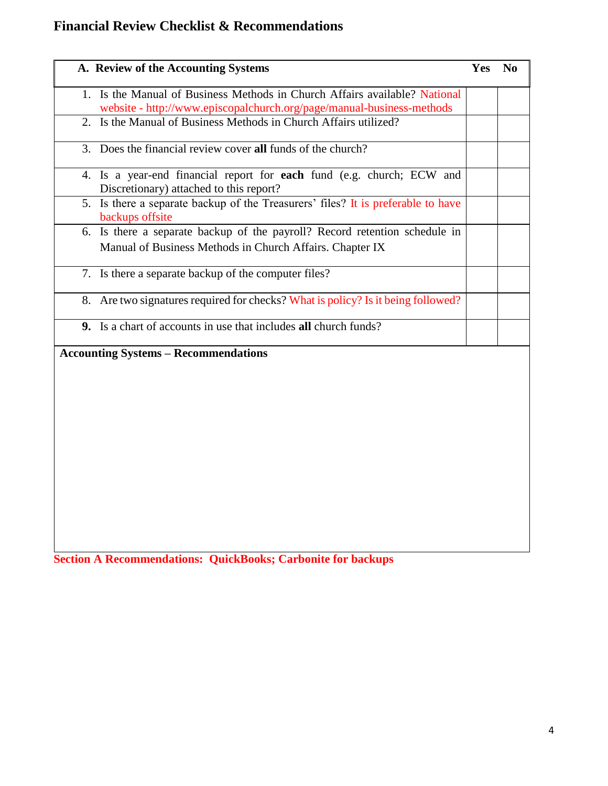# **Financial Review Checklist & Recommendations**

| 1. Is the Manual of Business Methods in Church Affairs available? National<br>website - http://www.episcopalchurch.org/page/manual-business-methods<br>2. Is the Manual of Business Methods in Church Affairs utilized?<br>3. Does the financial review cover all funds of the church?<br>4. Is a year-end financial report for each fund (e.g. church; ECW and<br>Discretionary) attached to this report?<br>5. Is there a separate backup of the Treasurers' files? It is preferable to have<br>backups offsite<br>6. Is there a separate backup of the payroll? Record retention schedule in<br>Manual of Business Methods in Church Affairs. Chapter IX<br>7. Is there a separate backup of the computer files?<br>8. Are two signatures required for checks? What is policy? Is it being followed?<br>9. Is a chart of accounts in use that includes all church funds?<br><b>Accounting Systems - Recommendations</b> | A. Review of the Accounting Systems | Yes | No |
|----------------------------------------------------------------------------------------------------------------------------------------------------------------------------------------------------------------------------------------------------------------------------------------------------------------------------------------------------------------------------------------------------------------------------------------------------------------------------------------------------------------------------------------------------------------------------------------------------------------------------------------------------------------------------------------------------------------------------------------------------------------------------------------------------------------------------------------------------------------------------------------------------------------------------|-------------------------------------|-----|----|
|                                                                                                                                                                                                                                                                                                                                                                                                                                                                                                                                                                                                                                                                                                                                                                                                                                                                                                                            |                                     |     |    |
|                                                                                                                                                                                                                                                                                                                                                                                                                                                                                                                                                                                                                                                                                                                                                                                                                                                                                                                            |                                     |     |    |
|                                                                                                                                                                                                                                                                                                                                                                                                                                                                                                                                                                                                                                                                                                                                                                                                                                                                                                                            |                                     |     |    |
|                                                                                                                                                                                                                                                                                                                                                                                                                                                                                                                                                                                                                                                                                                                                                                                                                                                                                                                            |                                     |     |    |
|                                                                                                                                                                                                                                                                                                                                                                                                                                                                                                                                                                                                                                                                                                                                                                                                                                                                                                                            |                                     |     |    |
|                                                                                                                                                                                                                                                                                                                                                                                                                                                                                                                                                                                                                                                                                                                                                                                                                                                                                                                            |                                     |     |    |
|                                                                                                                                                                                                                                                                                                                                                                                                                                                                                                                                                                                                                                                                                                                                                                                                                                                                                                                            |                                     |     |    |
|                                                                                                                                                                                                                                                                                                                                                                                                                                                                                                                                                                                                                                                                                                                                                                                                                                                                                                                            |                                     |     |    |
|                                                                                                                                                                                                                                                                                                                                                                                                                                                                                                                                                                                                                                                                                                                                                                                                                                                                                                                            |                                     |     |    |
|                                                                                                                                                                                                                                                                                                                                                                                                                                                                                                                                                                                                                                                                                                                                                                                                                                                                                                                            |                                     |     |    |
|                                                                                                                                                                                                                                                                                                                                                                                                                                                                                                                                                                                                                                                                                                                                                                                                                                                                                                                            |                                     |     |    |
|                                                                                                                                                                                                                                                                                                                                                                                                                                                                                                                                                                                                                                                                                                                                                                                                                                                                                                                            |                                     |     |    |
|                                                                                                                                                                                                                                                                                                                                                                                                                                                                                                                                                                                                                                                                                                                                                                                                                                                                                                                            |                                     |     |    |
|                                                                                                                                                                                                                                                                                                                                                                                                                                                                                                                                                                                                                                                                                                                                                                                                                                                                                                                            |                                     |     |    |
|                                                                                                                                                                                                                                                                                                                                                                                                                                                                                                                                                                                                                                                                                                                                                                                                                                                                                                                            |                                     |     |    |

**Section A Recommendations: QuickBooks; Carbonite for backups**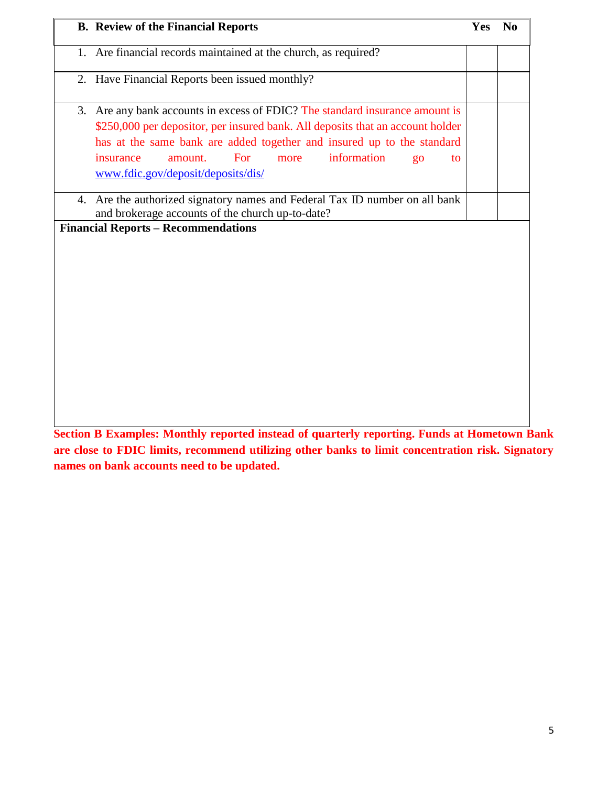| <b>B.</b> Review of the Financial Reports                                                                                                                                                                                                                                                                                                              | <b>Yes</b> | $\bf No$ |
|--------------------------------------------------------------------------------------------------------------------------------------------------------------------------------------------------------------------------------------------------------------------------------------------------------------------------------------------------------|------------|----------|
| 1. Are financial records maintained at the church, as required?                                                                                                                                                                                                                                                                                        |            |          |
| 2. Have Financial Reports been issued monthly?                                                                                                                                                                                                                                                                                                         |            |          |
| 3. Are any bank accounts in excess of FDIC? The standard insurance amount is<br>\$250,000 per depositor, per insured bank. All deposits that an account holder<br>has at the same bank are added together and insured up to the standard<br>information<br>For<br>insurance<br>amount.<br>more<br>$g_{0}$<br>to.<br>www.fdic.gov/deposit/deposits/dis/ |            |          |
| 4. Are the authorized signatory names and Federal Tax ID number on all bank<br>and brokerage accounts of the church up-to-date?                                                                                                                                                                                                                        |            |          |
| <b>Financial Reports - Recommendations</b>                                                                                                                                                                                                                                                                                                             |            |          |
|                                                                                                                                                                                                                                                                                                                                                        |            |          |

**Section B Examples: Monthly reported instead of quarterly reporting. Funds at Hometown Bank are close to FDIC limits, recommend utilizing other banks to limit concentration risk. Signatory names on bank accounts need to be updated.**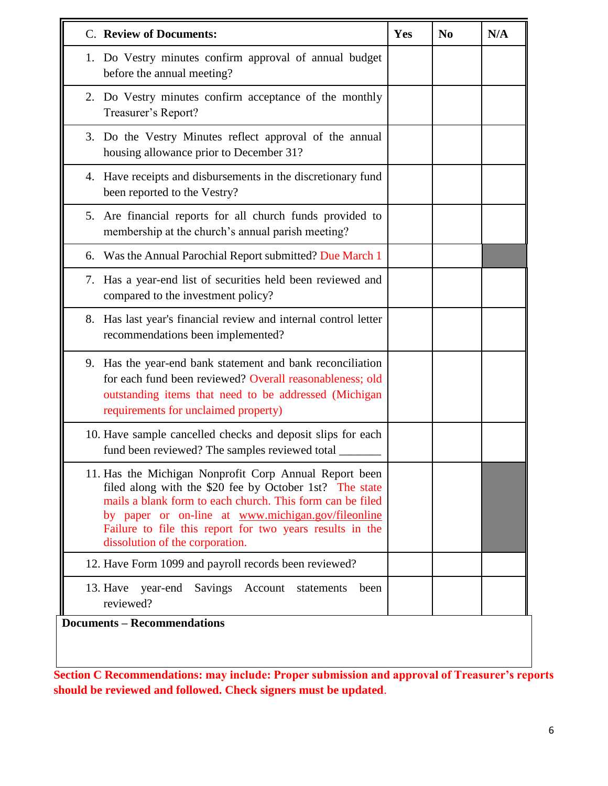| C. Review of Documents:                                                                                                                                                                                                                                                                                                             | Yes | N <sub>0</sub> | N/A |
|-------------------------------------------------------------------------------------------------------------------------------------------------------------------------------------------------------------------------------------------------------------------------------------------------------------------------------------|-----|----------------|-----|
| 1. Do Vestry minutes confirm approval of annual budget<br>before the annual meeting?                                                                                                                                                                                                                                                |     |                |     |
| 2. Do Vestry minutes confirm acceptance of the monthly<br>Treasurer's Report?                                                                                                                                                                                                                                                       |     |                |     |
| 3. Do the Vestry Minutes reflect approval of the annual<br>housing allowance prior to December 31?                                                                                                                                                                                                                                  |     |                |     |
| 4. Have receipts and disbursements in the discretionary fund<br>been reported to the Vestry?                                                                                                                                                                                                                                        |     |                |     |
| 5. Are financial reports for all church funds provided to<br>membership at the church's annual parish meeting?                                                                                                                                                                                                                      |     |                |     |
| 6. Was the Annual Parochial Report submitted? Due March 1                                                                                                                                                                                                                                                                           |     |                |     |
| 7. Has a year-end list of securities held been reviewed and<br>compared to the investment policy?                                                                                                                                                                                                                                   |     |                |     |
| Has last year's financial review and internal control letter<br>8.<br>recommendations been implemented?                                                                                                                                                                                                                             |     |                |     |
| 9. Has the year-end bank statement and bank reconciliation<br>for each fund been reviewed? Overall reasonableness; old<br>outstanding items that need to be addressed (Michigan<br>requirements for unclaimed property)                                                                                                             |     |                |     |
| 10. Have sample cancelled checks and deposit slips for each<br>fund been reviewed? The samples reviewed total                                                                                                                                                                                                                       |     |                |     |
| 11. Has the Michigan Nonprofit Corp Annual Report been<br>filed along with the \$20 fee by October 1st? The state<br>mails a blank form to each church. This form can be filed<br>by paper or on-line at www.michigan.gov/fileonline<br>Failure to file this report for two years results in the<br>dissolution of the corporation. |     |                |     |
| 12. Have Form 1099 and payroll records been reviewed?                                                                                                                                                                                                                                                                               |     |                |     |
| 13. Have<br>year-end<br>Savings Account<br>statements<br>been<br>reviewed?                                                                                                                                                                                                                                                          |     |                |     |

**Section C Recommendations: may include: Proper submission and approval of Treasurer's reports should be reviewed and followed. Check signers must be updated**.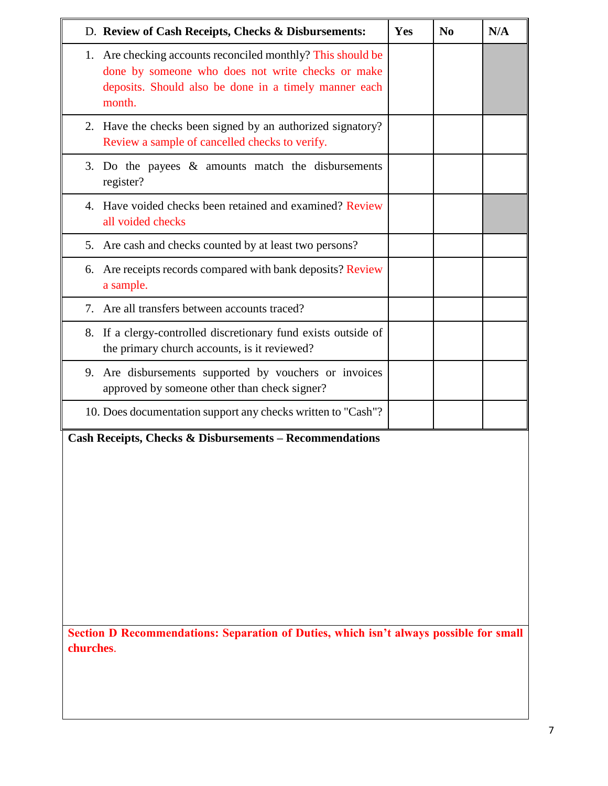| D. Review of Cash Receipts, Checks & Disbursements:                                                                                                                                 | Yes | N <sub>0</sub> | N/A |
|-------------------------------------------------------------------------------------------------------------------------------------------------------------------------------------|-----|----------------|-----|
| 1. Are checking accounts reconciled monthly? This should be<br>done by someone who does not write checks or make<br>deposits. Should also be done in a timely manner each<br>month. |     |                |     |
| 2. Have the checks been signed by an authorized signatory?<br>Review a sample of cancelled checks to verify.                                                                        |     |                |     |
| 3. Do the payees $\&$ amounts match the disbursements<br>register?                                                                                                                  |     |                |     |
| 4. Have voided checks been retained and examined? Review<br>all voided checks                                                                                                       |     |                |     |
| 5. Are cash and checks counted by at least two persons?                                                                                                                             |     |                |     |
| 6. Are receipts records compared with bank deposits? Review<br>a sample.                                                                                                            |     |                |     |
| 7. Are all transfers between accounts traced?                                                                                                                                       |     |                |     |
| 8. If a clergy-controlled discretionary fund exists outside of<br>the primary church accounts, is it reviewed?                                                                      |     |                |     |
| 9. Are disbursements supported by vouchers or invoices<br>approved by someone other than check signer?                                                                              |     |                |     |
| 10. Does documentation support any checks written to "Cash"?                                                                                                                        |     |                |     |
| <b>Cash Receipts, Checks &amp; Disbursements - Recommendations</b>                                                                                                                  |     |                |     |

**Section D Recommendations: Separation of Duties, which isn't always possible for small churches**.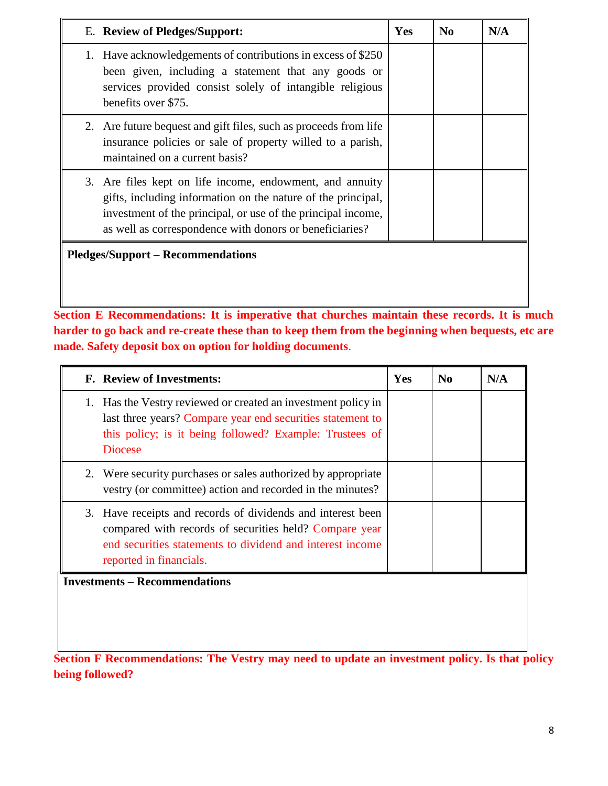| E. Review of Pledges/Support:                                                                                                                                                                                                                       | Yes | $\bf No$ | N/A |
|-----------------------------------------------------------------------------------------------------------------------------------------------------------------------------------------------------------------------------------------------------|-----|----------|-----|
| Have acknowledgements of contributions in excess of \$250<br>1.<br>been given, including a statement that any goods or<br>services provided consist solely of intangible religious<br>benefits over \$75.                                           |     |          |     |
| 2. Are future bequest and gift files, such as proceeds from life<br>insurance policies or sale of property willed to a parish,<br>maintained on a current basis?                                                                                    |     |          |     |
| 3. Are files kept on life income, endowment, and annuity<br>gifts, including information on the nature of the principal,<br>investment of the principal, or use of the principal income,<br>as well as correspondence with donors or beneficiaries? |     |          |     |
| <b>Pledges/Support – Recommendations</b>                                                                                                                                                                                                            |     |          |     |

**Section E Recommendations: It is imperative that churches maintain these records. It is much harder to go back and re-create these than to keep them from the beginning when bequests, etc are made. Safety deposit box on option for holding documents**.

|    | <b>F.</b> Review of Investments:                                                                                                                                                                              | Yes | N <sub>0</sub> | N/A |
|----|---------------------------------------------------------------------------------------------------------------------------------------------------------------------------------------------------------------|-----|----------------|-----|
| 1. | Has the Vestry reviewed or created an investment policy in<br>last three years? Compare year end securities statement to<br>this policy; is it being followed? Example: Trustees of<br><b>Diocese</b>         |     |                |     |
| 2. | Were security purchases or sales authorized by appropriate<br>vestry (or committee) action and recorded in the minutes?                                                                                       |     |                |     |
|    | 3. Have receipts and records of dividends and interest been<br>compared with records of securities held? Compare year<br>end securities statements to dividend and interest income<br>reported in financials. |     |                |     |
|    | <b>Investments – Recommendations</b>                                                                                                                                                                          |     |                |     |

**Section F Recommendations: The Vestry may need to update an investment policy. Is that policy being followed?**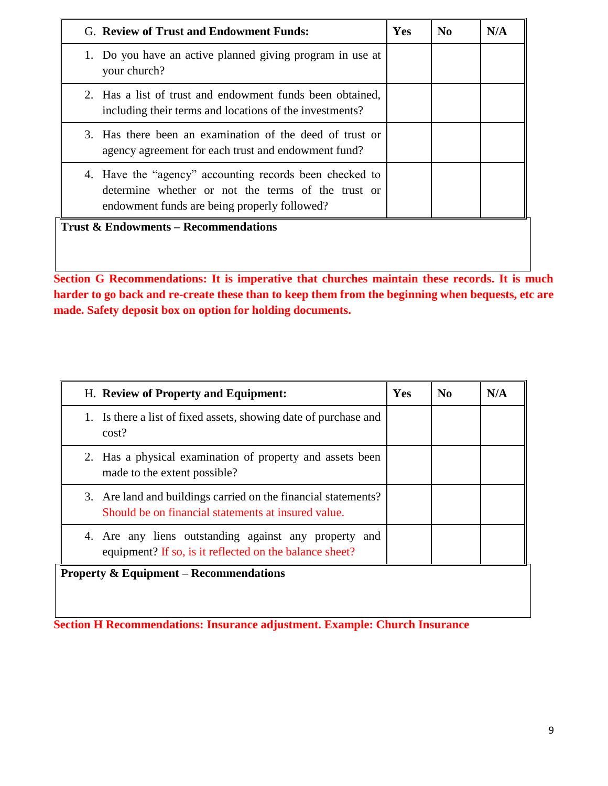| G. Review of Trust and Endowment Funds:                                                                                                                       | <b>Yes</b> | N <sub>0</sub> | N/A |
|---------------------------------------------------------------------------------------------------------------------------------------------------------------|------------|----------------|-----|
| 1. Do you have an active planned giving program in use at<br>your church?                                                                                     |            |                |     |
| 2. Has a list of trust and endowment funds been obtained,<br>including their terms and locations of the investments?                                          |            |                |     |
| 3. Has there been an examination of the deed of trust or<br>agency agreement for each trust and endowment fund?                                               |            |                |     |
| 4. Have the "agency" accounting records been checked to<br>determine whether or not the terms of the trust or<br>endowment funds are being properly followed? |            |                |     |
| <b>Trust &amp; Endowments – Recommendations</b>                                                                                                               |            |                |     |
|                                                                                                                                                               |            |                |     |
|                                                                                                                                                               |            |                |     |

**Section G Recommendations: It is imperative that churches maintain these records. It is much harder to go back and re-create these than to keep them from the beginning when bequests, etc are made. Safety deposit box on option for holding documents.**

| H. Review of Property and Equipment:                                                                                  | Yes | $\mathbf{N}\mathbf{0}$ | N/A |
|-----------------------------------------------------------------------------------------------------------------------|-----|------------------------|-----|
| Is there a list of fixed assets, showing date of purchase and<br>1.<br>cost?                                          |     |                        |     |
| 2. Has a physical examination of property and assets been<br>made to the extent possible?                             |     |                        |     |
| 3. Are land and buildings carried on the financial statements?<br>Should be on financial statements at insured value. |     |                        |     |
| 4. Are any liens outstanding against any property and<br>equipment? If so, is it reflected on the balance sheet?      |     |                        |     |
| <b>Property &amp; Equipment – Recommendations</b>                                                                     |     |                        |     |
|                                                                                                                       |     |                        |     |

**Section H Recommendations: Insurance adjustment. Example: Church Insurance**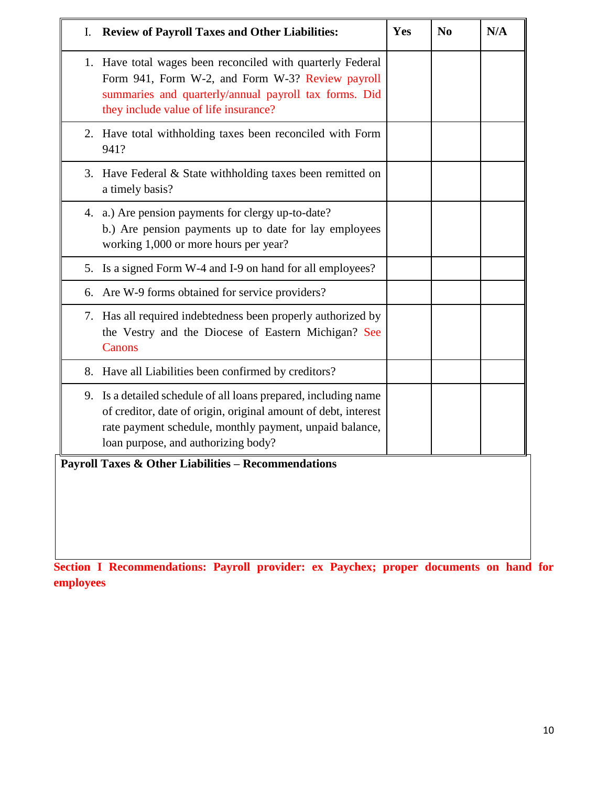| I. Review of Payroll Taxes and Other Liabilities:                                                                                                                                                                                   | Yes | N <sub>0</sub> | N/A |
|-------------------------------------------------------------------------------------------------------------------------------------------------------------------------------------------------------------------------------------|-----|----------------|-----|
| 1. Have total wages been reconciled with quarterly Federal<br>Form 941, Form W-2, and Form W-3? Review payroll<br>summaries and quarterly/annual payroll tax forms. Did<br>they include value of life insurance?                    |     |                |     |
| 2. Have total withholding taxes been reconciled with Form<br>941?                                                                                                                                                                   |     |                |     |
| 3. Have Federal & State withholding taxes been remitted on<br>a timely basis?                                                                                                                                                       |     |                |     |
| 4. a.) Are pension payments for clergy up-to-date?<br>b.) Are pension payments up to date for lay employees<br>working 1,000 or more hours per year?                                                                                |     |                |     |
| 5. Is a signed Form W-4 and I-9 on hand for all employees?                                                                                                                                                                          |     |                |     |
| 6. Are W-9 forms obtained for service providers?                                                                                                                                                                                    |     |                |     |
| 7. Has all required indebtedness been properly authorized by<br>the Vestry and the Diocese of Eastern Michigan? See<br>Canons                                                                                                       |     |                |     |
| 8. Have all Liabilities been confirmed by creditors?                                                                                                                                                                                |     |                |     |
| 9. Is a detailed schedule of all loans prepared, including name<br>of creditor, date of origin, original amount of debt, interest<br>rate payment schedule, monthly payment, unpaid balance,<br>loan purpose, and authorizing body? |     |                |     |
| <b>Payroll Taxes &amp; Other Liabilities - Recommendations</b>                                                                                                                                                                      |     |                |     |
|                                                                                                                                                                                                                                     |     |                |     |
|                                                                                                                                                                                                                                     |     |                |     |
|                                                                                                                                                                                                                                     |     |                |     |

**Section I Recommendations: Payroll provider: ex Paychex; proper documents on hand for employees**